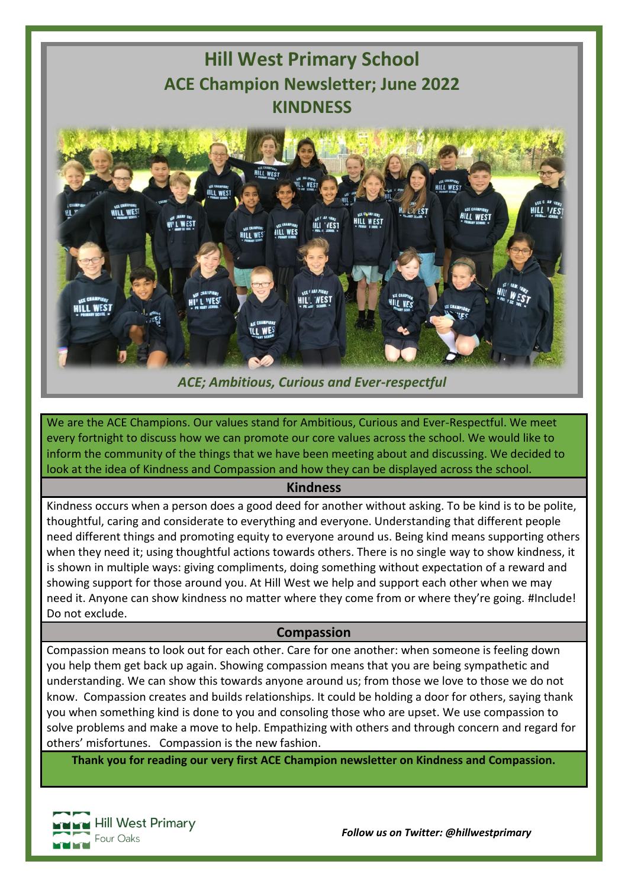

## *ACE; Ambitious, Curious and Ever-respectful*

We are the ACE Champions. Our values stand for Ambitious, Curious and Ever-Respectful. We meet every fortnight to discuss how we can promote our core values across the school. We would like to inform the community of the things that we have been meeting about and discussing. We decided to look at the idea of Kindness and Compassion and how they can be displayed across the school.

## **Kindness**

Kindness occurs when a person does a good deed for another without asking. To be kind is to be polite, thoughtful, caring and considerate to everything and everyone. Understanding that different people need different things and promoting equity to everyone around us. Being kind means supporting others when they need it; using thoughtful actions towards others. There is no single way to show kindness, it is shown in multiple ways: giving compliments, doing something without expectation of a reward and showing support for those around you. At Hill West we help and support each other when we may need it. Anyone can show kindness no matter where they come from or where they're going. #Include! Do not exclude.

## **Compassion**

Compassion means to look out for each other. Care for one another: when someone is feeling down you help them get back up again. Showing compassion means that you are being sympathetic and understanding. We can show this towards anyone around us; from those we love to those we do not know. Compassion creates and builds relationships. It could be holding a door for others, saying thank you when something kind is done to you and consoling those who are upset. We use compassion to solve problems and make a move to help. Empathizing with others and through concern and regard for others' misfortunes. Compassion is the new fashion.

**Thank you for reading our very first ACE Champion newsletter on Kindness and Compassion.**

**Hill West Primary** Four Oaks

*Follow us on Twitter: @hillwestprimary*